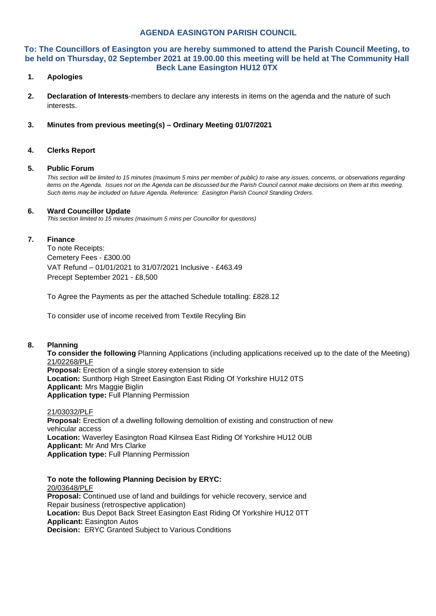# **AGENDA EASINGTON PARISH COUNCIL**

## **To: The Councillors of Easington you are hereby summoned to attend the Parish Council Meeting, to be held on Thursday, 02 September 2021 at 19.00.00 this meeting will be held at The Community Hall Beck Lane Easington HU12 0TX**

## **1. Apologies**

**2. Declaration of Interests**-members to declare any interests in items on the agenda and the nature of such interests.

### **3. Minutes from previous meeting(s) – Ordinary Meeting 01/07/2021**

### **4. Clerks Report**

#### **5. Public Forum**

*This section will be limited to 15 minutes (maximum 5 mins per member of public) to raise any issues, concerns, or observations regarding items on the Agenda. Issues not on the Agenda can be discussed but the Parish Council cannot make decisions on them at this meeting. Such items may be included on future Agenda. Reference: Easington Parish Council Standing Orders.*

#### **6. Ward Councillor Update**

*This section limited to 15 minutes (maximum 5 mins per Councillor for questions)*

#### **7. Finance**

To note Receipts: Cemetery Fees - £300.00 VAT Refund – 01/01/2021 to 31/07/2021 Inclusive - £463.49 Precept September 2021 - £8,500

To Agree the Payments as per the attached Schedule totalling: £828.12

To consider use of income received from Textile Recyling Bin

#### **8. Planning**

**To consider the following** Planning Applications (including applications received up to the date of the Meeting) 21/02268/PLF **Proposal:** Erection of a single storey extension to side

**Location:** Sunthorp High Street Easington East Riding Of Yorkshire HU12 0TS **Applicant:** Mrs Maggie Biglin **Application type:** Full Planning Permission

21/03032/PLF **Proposal:** Erection of a dwelling following demolition of existing and construction of new vehicular access **Location:** Waverley Easington Road Kilnsea East Riding Of Yorkshire HU12 0UB **Applicant:** Mr And Mrs Clarke **Application type:** Full Planning Permission

**To note the following Planning Decision by ERYC:** 20/03648/PLF **Proposal:** Continued use of land and buildings for vehicle recovery, service and Repair business (retrospective application) **Location:** Bus Depot Back Street Easington East Riding Of Yorkshire HU12 0TT **Applicant:** Easington Autos **Decision:** ERYC Granted Subject to Various Conditions